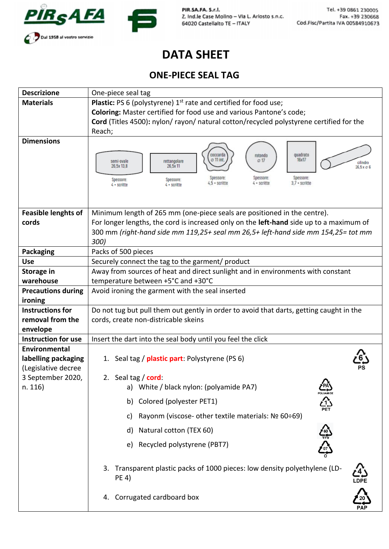



PIR.SA.FA. S.r.l. Z. Ind.le Case Molino - Via L. Ariosto s.n.c. 64020 Castellalto TE - ITALY

## **DATA SHEET**

## **ONE-PIECE SEAL TAG**

| <b>Descrizione</b>                       | One-piece seal tag                                                                                                                                                                                                                                                                                                                               |
|------------------------------------------|--------------------------------------------------------------------------------------------------------------------------------------------------------------------------------------------------------------------------------------------------------------------------------------------------------------------------------------------------|
| <b>Materials</b>                         | <b>Plastic:</b> PS 6 (polystyrene) $1st$ rate and certified for food use;                                                                                                                                                                                                                                                                        |
|                                          | Coloring: Master certified for food use and various Pantone's code;                                                                                                                                                                                                                                                                              |
|                                          | Cord (Titles 4500): nylon/rayon/natural cotton/recycled polystyrene certified for the                                                                                                                                                                                                                                                            |
|                                          | Reach;                                                                                                                                                                                                                                                                                                                                           |
| <b>Dimensions</b>                        |                                                                                                                                                                                                                                                                                                                                                  |
|                                          | quadrato<br>coccarda<br>rotondo<br>16x17<br>$\emptyset$ 11 int.<br>$\oslash$ 17<br>rettangolare<br>semi-ovale<br>cilindro<br>26.5x11<br>26.5x13.8<br>$26.5 \times \emptyset 6$<br>Spessore:<br>Spessore:<br>Spessore:<br>Spessore:<br>Spessore:<br>$4 -$ scritte<br>$3.7 \cdot$ scritte<br>$4.5 -$ scritte<br>$4 •$ scritte<br>$4 \cdot$ scritte |
|                                          |                                                                                                                                                                                                                                                                                                                                                  |
| <b>Feasible lenghts of</b><br>cords      | Minimum length of 265 mm (one-piece seals are positioned in the centre).<br>For longer lengths, the cord is increased only on the left-hand side up to a maximum of                                                                                                                                                                              |
|                                          | 300 mm (right-hand side mm 119,25+ seal mm 26,5+ left-hand side mm 154,25= tot mm<br>300)                                                                                                                                                                                                                                                        |
| <b>Packaging</b>                         | Packs of 500 pieces                                                                                                                                                                                                                                                                                                                              |
| <b>Use</b>                               | Securely connect the tag to the garment/ product                                                                                                                                                                                                                                                                                                 |
| <b>Storage in</b>                        | Away from sources of heat and direct sunlight and in environments with constant                                                                                                                                                                                                                                                                  |
| warehouse                                | temperature between +5°C and +30°C                                                                                                                                                                                                                                                                                                               |
| <b>Precautions during</b>                | Avoid ironing the garment with the seal inserted                                                                                                                                                                                                                                                                                                 |
| ironing                                  |                                                                                                                                                                                                                                                                                                                                                  |
| <b>Instructions for</b>                  | Do not tug but pull them out gently in order to avoid that darts, getting caught in the                                                                                                                                                                                                                                                          |
| removal from the                         | cords, create non-districable skeins                                                                                                                                                                                                                                                                                                             |
| envelope<br><b>Instruction for use</b>   | Insert the dart into the seal body until you feel the click                                                                                                                                                                                                                                                                                      |
| <b>Environmental</b>                     |                                                                                                                                                                                                                                                                                                                                                  |
| labelling packaging                      | 1. Seal tag / plastic part: Polystyrene (PS 6)                                                                                                                                                                                                                                                                                                   |
| (Legislative decree<br>3 September 2020, | 2. Seal tag / cord:                                                                                                                                                                                                                                                                                                                              |
| n. 116)                                  | <b>CPA)</b><br>POLYAMIDE<br>White / black nylon: (polyamide PA7)<br>a)                                                                                                                                                                                                                                                                           |
|                                          | ∯<br>Colored (polyester PET1)<br>b)                                                                                                                                                                                                                                                                                                              |
|                                          | Rayonm (viscose- other textile materials: Nº 60÷69)<br>c)                                                                                                                                                                                                                                                                                        |
|                                          | Natural cotton (TEX 60)<br>d)                                                                                                                                                                                                                                                                                                                    |
|                                          | Recycled polystyrene (PBT7)<br>e)                                                                                                                                                                                                                                                                                                                |
|                                          | 3. Transparent plastic packs of 1000 pieces: low density polyethylene (LD-<br>PE 4)                                                                                                                                                                                                                                                              |
|                                          | 4. Corrugated cardboard box                                                                                                                                                                                                                                                                                                                      |